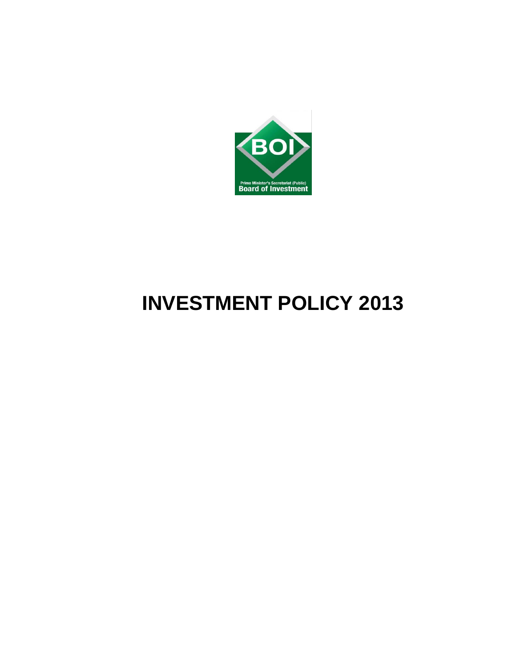

# **INVESTMENT POLICY 2013**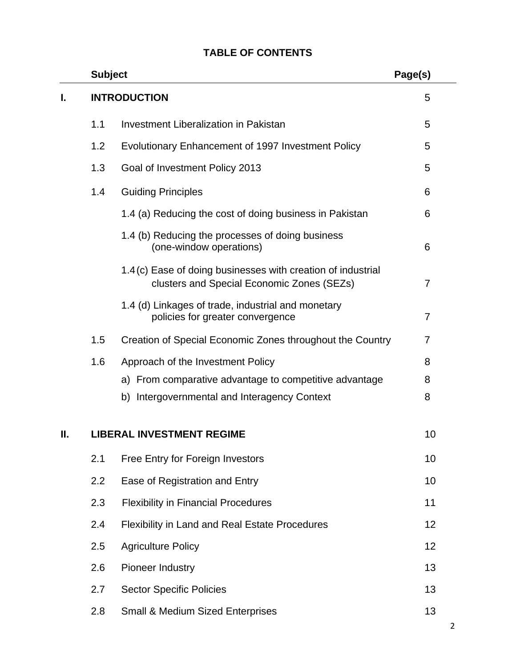# **Subject** Page(s) **I. INTRODUCTION** 5 1.1 Investment Liberalization in Pakistan 5 1.2 Evolutionary Enhancement of 1997 Investment Policy 5 1.3 Goal of Investment Policy 2013 5 1.4 Guiding Principles 6 1.4 (a) Reducing the cost of doing business in Pakistan 6 1.4 (b) Reducing the processes of doing business (one-window operations) 6 1.4 (c) Ease of doing businesses with creation of industrial clusters and Special Economic Zones (SEZs) 7 1.4 (d) Linkages of trade, industrial and monetary policies for greater convergence 7 1.5 Creation of Special Economic Zones throughout the Country 7 1.6 Approach of the Investment Policy **8** 8 a) From comparative advantage to competitive advantage  $\sim$  8 b) Intergovernmental and Interagency Context 8 **II. LIBERAL INVESTMENT REGIME 10 10** 2.1 Free Entry for Foreign Investors10 2.2 Ease of Registration and Entry 10 2.3 Flexibility in Financial Procedures 11 2.4 Flexibility in Land and Real Estate Procedures 12 2.5 Agriculture Policy 12

# **TABLE OF CONTENTS**

2.8 Small & Medium Sized Enterprises 13

2.6 Pioneer Industry 2.6 2.6 Pioneer Industry 2.6 2.6 Pioneer Industry 2.6 Pioneer Industry 2.6 2.13

2.7 Sector Specific Policies 13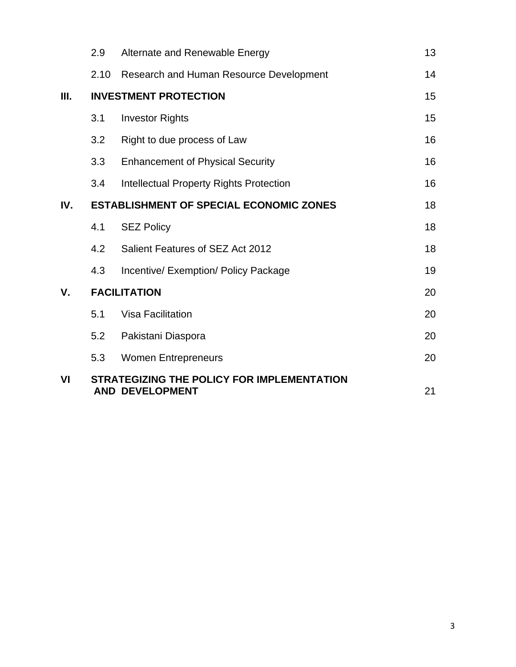| VI  |                                                | <b>STRATEGIZING THE POLICY FOR IMPLEMENTATION</b><br><b>AND DEVELOPMENT</b> | 21 |
|-----|------------------------------------------------|-----------------------------------------------------------------------------|----|
|     | 5.3                                            | <b>Women Entrepreneurs</b>                                                  | 20 |
|     | 5.2                                            | Pakistani Diaspora                                                          | 20 |
|     | 5.1                                            | <b>Visa Facilitation</b>                                                    | 20 |
| V.  | <b>FACILITATION</b>                            |                                                                             | 20 |
|     | 4.3                                            | Incentive/ Exemption/ Policy Package                                        | 19 |
|     | 4.2                                            | Salient Features of SEZ Act 2012                                            | 18 |
|     | 4.1                                            | <b>SEZ Policy</b>                                                           | 18 |
| IV. | <b>ESTABLISHMENT OF SPECIAL ECONOMIC ZONES</b> |                                                                             |    |
|     | 3.4                                            | <b>Intellectual Property Rights Protection</b>                              | 16 |
|     | 3.3                                            | <b>Enhancement of Physical Security</b>                                     | 16 |
|     | 3.2                                            | Right to due process of Law                                                 | 16 |
|     | 3.1                                            | <b>Investor Rights</b>                                                      | 15 |
| Ш.  | <b>INVESTMENT PROTECTION</b>                   |                                                                             |    |
|     | 2.10                                           | Research and Human Resource Development                                     | 14 |
|     | 2.9                                            | Alternate and Renewable Energy                                              | 13 |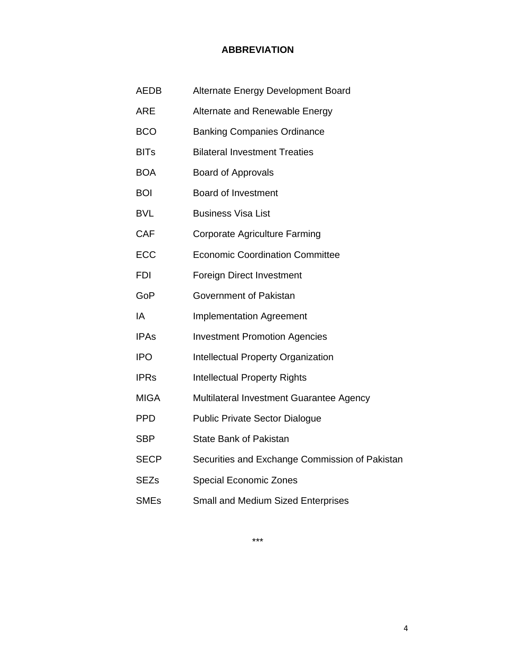## **ABBREVIATION**

| <b>AEDB</b> | Alternate Energy Development Board             |
|-------------|------------------------------------------------|
| <b>ARE</b>  | Alternate and Renewable Energy                 |
| <b>BCO</b>  | <b>Banking Companies Ordinance</b>             |
| <b>BITs</b> | <b>Bilateral Investment Treaties</b>           |
| <b>BOA</b>  | <b>Board of Approvals</b>                      |
| <b>BOI</b>  | <b>Board of Investment</b>                     |
| <b>BVL</b>  | <b>Business Visa List</b>                      |
| <b>CAF</b>  | <b>Corporate Agriculture Farming</b>           |
| <b>ECC</b>  | <b>Economic Coordination Committee</b>         |
| <b>FDI</b>  | <b>Foreign Direct Investment</b>               |
| GoP         | Government of Pakistan                         |
| IA          | <b>Implementation Agreement</b>                |
| <b>IPAs</b> | <b>Investment Promotion Agencies</b>           |
| <b>IPO</b>  | <b>Intellectual Property Organization</b>      |
| <b>IPRs</b> | <b>Intellectual Property Rights</b>            |
| <b>MIGA</b> | Multilateral Investment Guarantee Agency       |
| <b>PPD</b>  | <b>Public Private Sector Dialogue</b>          |
| <b>SBP</b>  | <b>State Bank of Pakistan</b>                  |
| <b>SECP</b> | Securities and Exchange Commission of Pakistan |
| <b>SEZs</b> | <b>Special Economic Zones</b>                  |
| <b>SMEs</b> | Small and Medium Sized Enterprises             |

\*\*\*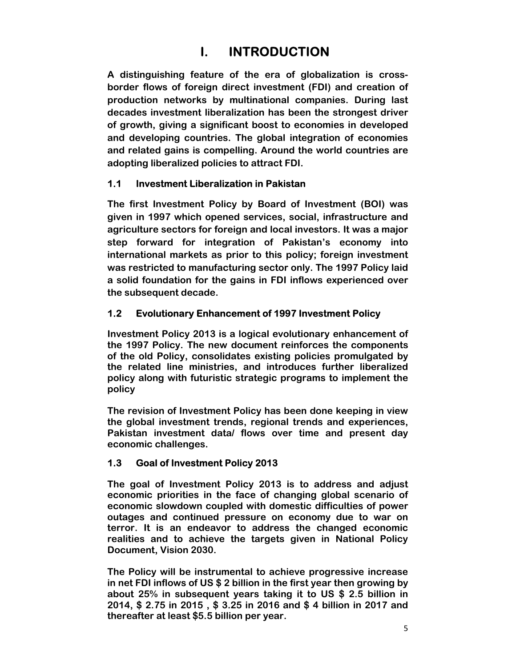# **I. INTRODUCTION**

**A distinguishing feature of the era of globalization is crossborder flows of foreign direct investment (FDI) and creation of production networks by multinational companies. During last decades investment liberalization has been the strongest driver of growth, giving a significant boost to economies in developed and developing countries. The global integration of economies and related gains is compelling. Around the world countries are adopting liberalized policies to attract FDI.** 

# **1.1 Investment Liberalization in Pakistan**

**The first Investment Policy by Board of Investment (BOI) was given in 1997 which opened services, social, infrastructure and agriculture sectors for foreign and local investors. It was a major step forward for integration of Pakistan's economy into international markets as prior to this policy; foreign investment was restricted to manufacturing sector only. The 1997 Policy laid a solid foundation for the gains in FDI inflows experienced over the subsequent decade.** 

# **1.2 Evolutionary Enhancement of 1997 Investment Policy**

**Investment Policy 2013 is a logical evolutionary enhancement of the 1997 Policy. The new document reinforces the components of the old Policy, consolidates existing policies promulgated by the related line ministries, and introduces further liberalized policy along with futuristic strategic programs to implement the policy** 

**The revision of Investment Policy has been done keeping in view the global investment trends, regional trends and experiences, Pakistan investment data/ flows over time and present day economic challenges.** 

# **1.3 Goal of Investment Policy 2013**

**The goal of Investment Policy 2013 is to address and adjust economic priorities in the face of changing global scenario of economic slowdown coupled with domestic difficulties of power outages and continued pressure on economy due to war on terror. It is an endeavor to address the changed economic realities and to achieve the targets given in National Policy Document, Vision 2030.** 

**The Policy will be instrumental to achieve progressive increase in net FDI inflows of US \$ 2 billion in the first year then growing by about 25% in subsequent years taking it to US \$ 2.5 billion in 2014, \$ 2.75 in 2015 , \$ 3.25 in 2016 and \$ 4 billion in 2017 and thereafter at least \$5.5 billion per year.**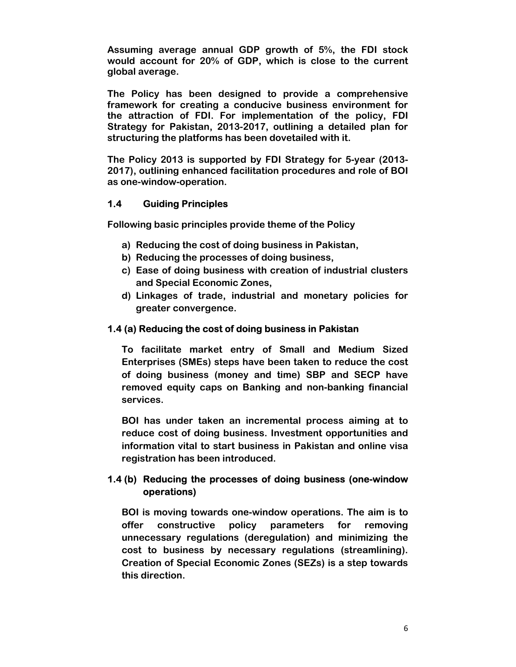**Assuming average annual GDP growth of 5%, the FDI stock would account for 20% of GDP, which is close to the current global average.** 

**The Policy has been designed to provide a comprehensive framework for creating a conducive business environment for the attraction of FDI. For implementation of the policy, FDI Strategy for Pakistan, 2013-2017, outlining a detailed plan for structuring the platforms has been dovetailed with it.** 

**The Policy 2013 is supported by FDI Strategy for 5-year (2013- 2017), outlining enhanced facilitation procedures and role of BOI as one-window-operation.** 

## **1.4 Guiding Principles**

**Following basic principles provide theme of the Policy** 

- **a) Reducing the cost of doing business in Pakistan,**
- **b) Reducing the processes of doing business,**
- **c) Ease of doing business with creation of industrial clusters and Special Economic Zones,**
- **d) Linkages of trade, industrial and monetary policies for greater convergence.**

#### **1.4 (a) Reducing the cost of doing business in Pakistan**

**To facilitate market entry of Small and Medium Sized Enterprises (SMEs) steps have been taken to reduce the cost of doing business (money and time) SBP and SECP have removed equity caps on Banking and non-banking financial services.** 

**BOI has under taken an incremental process aiming at to reduce cost of doing business. Investment opportunities and information vital to start business in Pakistan and online visa registration has been introduced.** 

## **1.4 (b) Reducing the processes of doing business (one-window operations)**

**BOI is moving towards one-window operations. The aim is to offer constructive policy parameters for removing unnecessary regulations (deregulation) and minimizing the cost to business by necessary regulations (streamlining). Creation of Special Economic Zones (SEZs) is a step towards this direction.**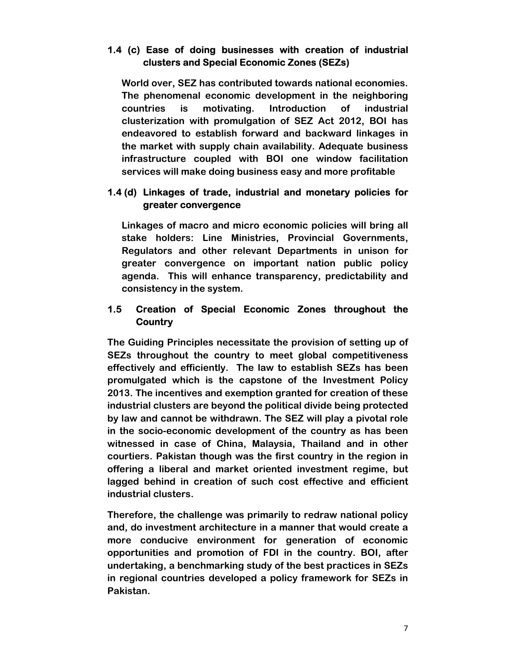#### **1.4 (c) Ease of doing businesses with creation of industrial clusters and Special Economic Zones (SEZs)**

**World over, SEZ has contributed towards national economies. The phenomenal economic development in the neighboring countries is motivating. Introduction of industrial clusterization with promulgation of SEZ Act 2012, BOI has endeavored to establish forward and backward linkages in the market with supply chain availability. Adequate business infrastructure coupled with BOI one window facilitation services will make doing business easy and more profitable** 

## **1.4 (d) Linkages of trade, industrial and monetary policies for greater convergence**

**Linkages of macro and micro economic policies will bring all stake holders: Line Ministries, Provincial Governments, Regulators and other relevant Departments in unison for greater convergence on important nation public policy agenda. This will enhance transparency, predictability and consistency in the system.** 

# **1.5 Creation of Special Economic Zones throughout the Country**

**The Guiding Principles necessitate the provision of setting up of SEZs throughout the country to meet global competitiveness effectively and efficiently. The law to establish SEZs has been promulgated which is the capstone of the Investment Policy 2013. The incentives and exemption granted for creation of these industrial clusters are beyond the political divide being protected by law and cannot be withdrawn. The SEZ will play a pivotal role in the socio-economic development of the country as has been witnessed in case of China, Malaysia, Thailand and in other courtiers. Pakistan though was the first country in the region in offering a liberal and market oriented investment regime, but lagged behind in creation of such cost effective and efficient industrial clusters.** 

**Therefore, the challenge was primarily to redraw national policy and, do investment architecture in a manner that would create a more conducive environment for generation of economic opportunities and promotion of FDI in the country. BOI, after undertaking, a benchmarking study of the best practices in SEZs in regional countries developed a policy framework for SEZs in Pakistan.**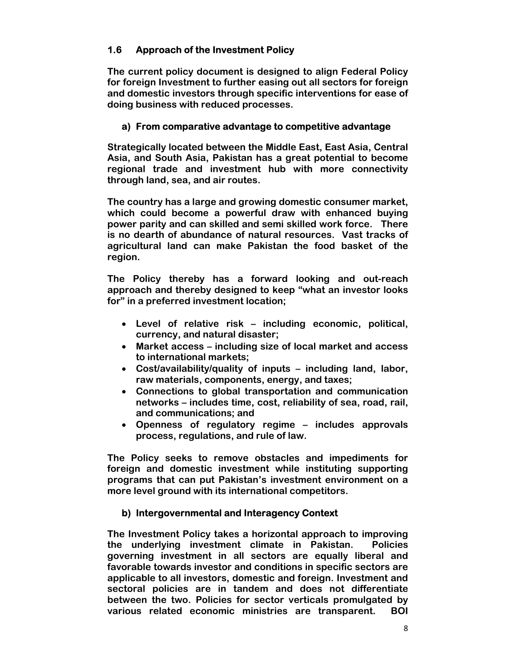## **1.6 Approach of the Investment Policy**

**The current policy document is designed to align Federal Policy for foreign Investment to further easing out all sectors for foreign and domestic investors through specific interventions for ease of doing business with reduced processes.** 

#### **a) From comparative advantage to competitive advantage**

**Strategically located between the Middle East, East Asia, Central Asia, and South Asia, Pakistan has a great potential to become regional trade and investment hub with more connectivity through land, sea, and air routes.** 

**The country has a large and growing domestic consumer market, which could become a powerful draw with enhanced buying power parity and can skilled and semi skilled work force. There is no dearth of abundance of natural resources. Vast tracks of agricultural land can make Pakistan the food basket of the region.** 

**The Policy thereby has a forward looking and out-reach approach and thereby designed to keep "what an investor looks for" in a preferred investment location;** 

- **Level of relative risk including economic, political, currency, and natural disaster;**
- **Market access including size of local market and access to international markets;**
- **Cost/availability/quality of inputs including land, labor, raw materials, components, energy, and taxes;**
- **Connections to global transportation and communication networks – includes time, cost, reliability of sea, road, rail, and communications; and**
- **Openness of regulatory regime includes approvals process, regulations, and rule of law.**

**The Policy seeks to remove obstacles and impediments for foreign and domestic investment while instituting supporting programs that can put Pakistan's investment environment on a more level ground with its international competitors.** 

#### **b) Intergovernmental and Interagency Context**

**The Investment Policy takes a horizontal approach to improving the underlying investment climate in Pakistan. Policies governing investment in all sectors are equally liberal and favorable towards investor and conditions in specific sectors are applicable to all investors, domestic and foreign. Investment and sectoral policies are in tandem and does not differentiate between the two. Policies for sector verticals promulgated by various related economic ministries are transparent. BOI**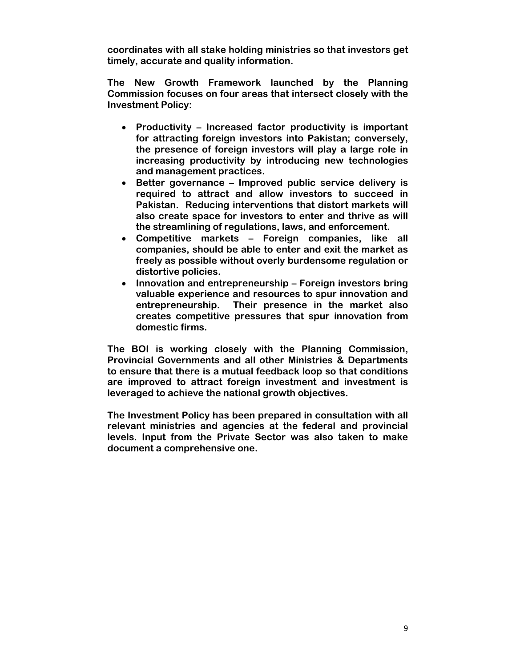**coordinates with all stake holding ministries so that investors get timely, accurate and quality information.** 

**The New Growth Framework launched by the Planning Commission focuses on four areas that intersect closely with the Investment Policy:** 

- **Productivity Increased factor productivity is important for attracting foreign investors into Pakistan; conversely, the presence of foreign investors will play a large role in increasing productivity by introducing new technologies and management practices.**
- **Better governance Improved public service delivery is required to attract and allow investors to succeed in Pakistan. Reducing interventions that distort markets will also create space for investors to enter and thrive as will the streamlining of regulations, laws, and enforcement.**
- **Competitive markets Foreign companies, like all companies, should be able to enter and exit the market as freely as possible without overly burdensome regulation or distortive policies.**
- **Innovation and entrepreneurship Foreign investors bring valuable experience and resources to spur innovation and entrepreneurship. Their presence in the market also creates competitive pressures that spur innovation from domestic firms.**

**The BOI is working closely with the Planning Commission, Provincial Governments and all other Ministries & Departments to ensure that there is a mutual feedback loop so that conditions are improved to attract foreign investment and investment is leveraged to achieve the national growth objectives.** 

**The Investment Policy has been prepared in consultation with all relevant ministries and agencies at the federal and provincial levels. Input from the Private Sector was also taken to make document a comprehensive one.**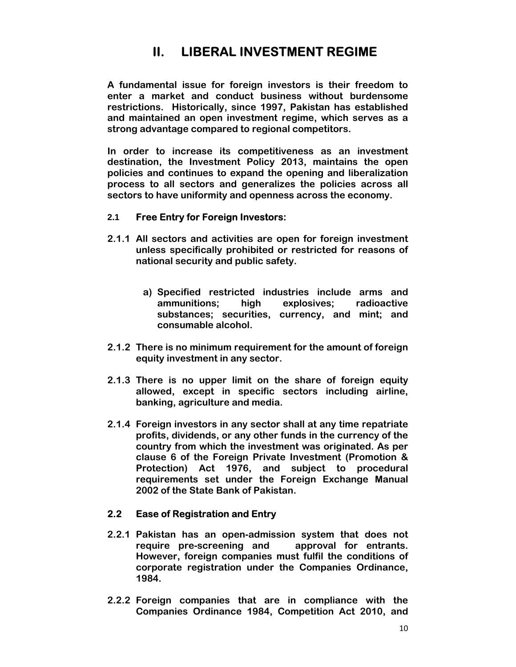# **II. LIBERAL INVESTMENT REGIME**

**A fundamental issue for foreign investors is their freedom to enter a market and conduct business without burdensome restrictions. Historically, since 1997, Pakistan has established and maintained an open investment regime, which serves as a strong advantage compared to regional competitors.** 

**In order to increase its competitiveness as an investment destination, the Investment Policy 2013, maintains the open policies and continues to expand the opening and liberalization process to all sectors and generalizes the policies across all sectors to have uniformity and openness across the economy.** 

#### **2.1 Free Entry for Foreign Investors:**

- **2.1.1 All sectors and activities are open for foreign investment unless specifically prohibited or restricted for reasons of national security and public safety.** 
	- **a) Specified restricted industries include arms and ammunitions; high explosives; radioactive substances; securities, currency, and mint; and consumable alcohol.**
- **2.1.2 There is no minimum requirement for the amount of foreign equity investment in any sector.**
- **2.1.3 There is no upper limit on the share of foreign equity allowed, except in specific sectors including airline, banking, agriculture and media.**
- **2.1.4 Foreign investors in any sector shall at any time repatriate profits, dividends, or any other funds in the currency of the country from which the investment was originated. As per clause 6 of the Foreign Private Investment (Promotion & Protection) Act 1976, and subject to procedural requirements set under the Foreign Exchange Manual 2002 of the State Bank of Pakistan.**

#### **2.2 Ease of Registration and Entry**

- **2.2.1 Pakistan has an open-admission system that does not require pre-screening and approval for entrants. However, foreign companies must fulfil the conditions of corporate registration under the Companies Ordinance, 1984.**
- **2.2.2 Foreign companies that are in compliance with the Companies Ordinance 1984, Competition Act 2010, and**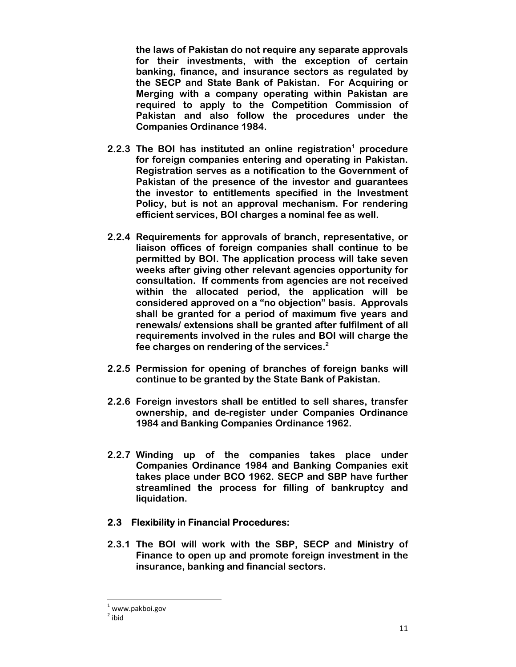**the laws of Pakistan do not require any separate approvals for their investments, with the exception of certain banking, finance, and insurance sectors as regulated by the SECP and State Bank of Pakistan. For Acquiring or Merging with a company operating within Pakistan are required to apply to the Competition Commission of Pakistan and also follow the procedures under the Companies Ordinance 1984.** 

- 2.2.3 The BOI has instituted an online registration<sup>1</sup> procedure **for foreign companies entering and operating in Pakistan. Registration serves as a notification to the Government of Pakistan of the presence of the investor and guarantees the investor to entitlements specified in the Investment Policy, but is not an approval mechanism. For rendering efficient services, BOI charges a nominal fee as well.**
- **2.2.4 Requirements for approvals of branch, representative, or liaison offices of foreign companies shall continue to be permitted by BOI. The application process will take seven weeks after giving other relevant agencies opportunity for consultation. If comments from agencies are not received within the allocated period, the application will be considered approved on a "no objection" basis. Approvals shall be granted for a period of maximum five years and renewals/ extensions shall be granted after fulfilment of all requirements involved in the rules and BOI will charge the fee charges on rendering of the services.2**
- **2.2.5 Permission for opening of branches of foreign banks will continue to be granted by the State Bank of Pakistan.**
- **2.2.6 Foreign investors shall be entitled to sell shares, transfer ownership, and de-register under Companies Ordinance 1984 and Banking Companies Ordinance 1962.**
- **2.2.7 Winding up of the companies takes place under Companies Ordinance 1984 and Banking Companies exit takes place under BCO 1962. SECP and SBP have further streamlined the process for filling of bankruptcy and liquidation.**

#### **2.3 Flexibility in Financial Procedures:**

**2.3.1 The BOI will work with the SBP, SECP and Ministry of Finance to open up and promote foreign investment in the insurance, banking and financial sectors.** 

 $1$  www.pakboi.gov

 $2$  ibid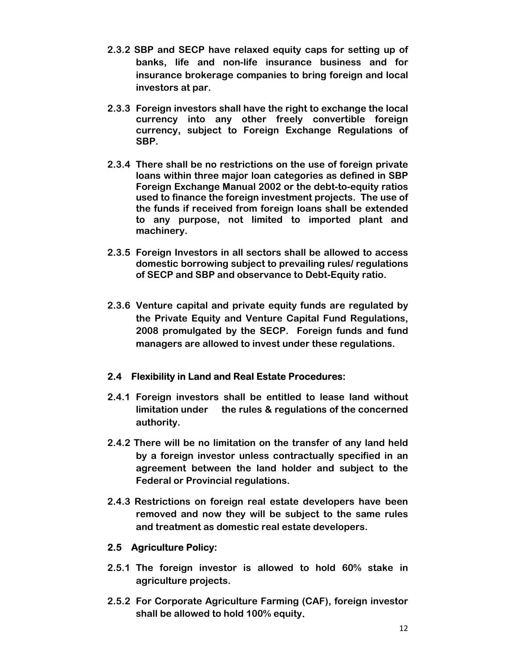- **2.3.2 SBP and SECP have relaxed equity caps for setting up of banks, life and non-life insurance business and for insurance brokerage companies to bring foreign and local investors at par.**
- **2.3.3 Foreign investors shall have the right to exchange the local currency into any other freely convertible foreign currency, subject to Foreign Exchange Regulations of SBP.**
- **2.3.4 There shall be no restrictions on the use of foreign private loans within three major loan categories as defined in SBP Foreign Exchange Manual 2002 or the debt-to-equity ratios used to finance the foreign investment projects. The use of the funds if received from foreign loans shall be extended to any purpose, not limited to imported plant and machinery.**
- **2.3.5 Foreign Investors in all sectors shall be allowed to access domestic borrowing subject to prevailing rules/ regulations of SECP and SBP and observance to Debt-Equity ratio.**
- **2.3.6 Venture capital and private equity funds are regulated by the Private Equity and Venture Capital Fund Regulations, 2008 promulgated by the SECP. Foreign funds and fund managers are allowed to invest under these regulations.**

# **2.4 Flexibility in Land and Real Estate Procedures:**

- **2.4.1 Foreign investors shall be entitled to lease land without limitation under the rules & regulations of the concerned authority.**
- **2.4.2 There will be no limitation on the transfer of any land held by a foreign investor unless contractually specified in an agreement between the land holder and subject to the Federal or Provincial regulations.**
- **2.4.3 Restrictions on foreign real estate developers have been removed and now they will be subject to the same rules and treatment as domestic real estate developers.**

# **2.5 Agriculture Policy:**

- **2.5.1 The foreign investor is allowed to hold 60% stake in agriculture projects.**
- **2.5.2 For Corporate Agriculture Farming (CAF), foreign investor shall be allowed to hold 100% equity.**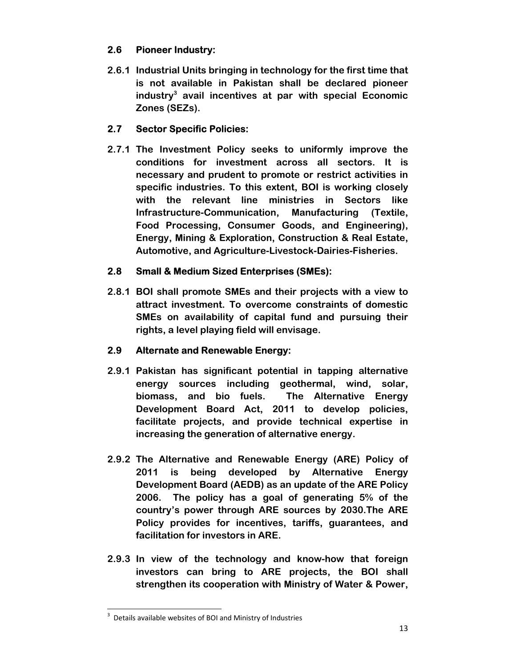# **2.6 Pioneer Industry:**

**2.6.1 Industrial Units bringing in technology for the first time that is not available in Pakistan shall be declared pioneer industry3 avail incentives at par with special Economic Zones (SEZs).** 

# **2.7 Sector Specific Policies:**

**2.7.1 The Investment Policy seeks to uniformly improve the conditions for investment across all sectors. It is necessary and prudent to promote or restrict activities in specific industries. To this extent, BOI is working closely with the relevant line ministries in Sectors like Infrastructure-Communication, Manufacturing (Textile, Food Processing, Consumer Goods, and Engineering), Energy, Mining & Exploration, Construction & Real Estate, Automotive, and Agriculture-Livestock-Dairies-Fisheries.** 

# **2.8 Small & Medium Sized Enterprises (SMEs):**

**2.8.1 BOI shall promote SMEs and their projects with a view to attract investment. To overcome constraints of domestic SMEs on availability of capital fund and pursuing their rights, a level playing field will envisage.** 

# **2.9 Alternate and Renewable Energy:**

- **2.9.1 Pakistan has significant potential in tapping alternative energy sources including geothermal, wind, solar, biomass, and bio fuels. The Alternative Energy Development Board Act, 2011 to develop policies, facilitate projects, and provide technical expertise in increasing the generation of alternative energy.**
- **2.9.2 The Alternative and Renewable Energy (ARE) Policy of 2011 is being developed by Alternative Energy Development Board (AEDB) as an update of the ARE Policy 2006. The policy has a goal of generating 5% of the country's power through ARE sources by 2030.The ARE Policy provides for incentives, tariffs, guarantees, and facilitation for investors in ARE.**
- **2.9.3 In view of the technology and know-how that foreign investors can bring to ARE projects, the BOI shall strengthen its cooperation with Ministry of Water & Power,**

 3 Details available websites of BOI and Ministry of Industries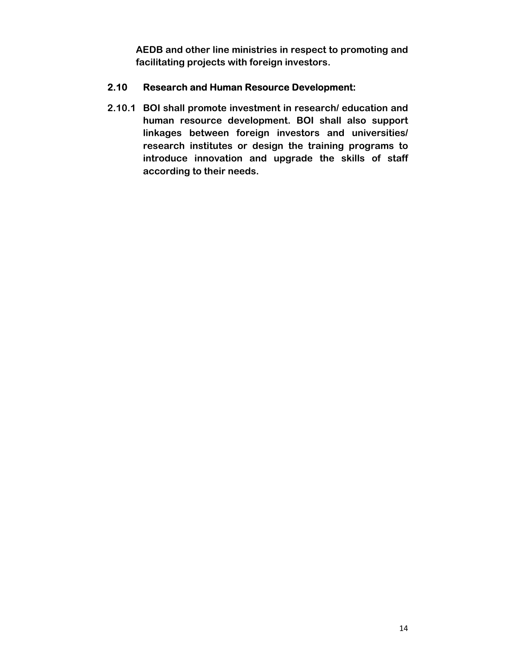**AEDB and other line ministries in respect to promoting and facilitating projects with foreign investors.** 

#### **2.10 Research and Human Resource Development:**

**2.10.1 BOI shall promote investment in research/ education and human resource development. BOI shall also support linkages between foreign investors and universities/ research institutes or design the training programs to introduce innovation and upgrade the skills of staff according to their needs.**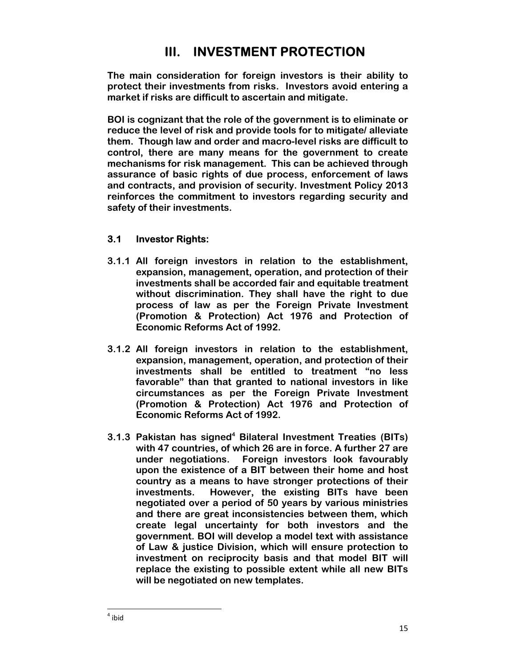# **III. INVESTMENT PROTECTION**

**The main consideration for foreign investors is their ability to protect their investments from risks. Investors avoid entering a market if risks are difficult to ascertain and mitigate.** 

**BOI is cognizant that the role of the government is to eliminate or reduce the level of risk and provide tools for to mitigate/ alleviate them. Though law and order and macro-level risks are difficult to control, there are many means for the government to create mechanisms for risk management. This can be achieved through assurance of basic rights of due process, enforcement of laws and contracts, and provision of security. Investment Policy 2013 reinforces the commitment to investors regarding security and safety of their investments.** 

## **3.1 Investor Rights:**

- **3.1.1 All foreign investors in relation to the establishment, expansion, management, operation, and protection of their investments shall be accorded fair and equitable treatment without discrimination. They shall have the right to due process of law as per the Foreign Private Investment (Promotion & Protection) Act 1976 and Protection of Economic Reforms Act of 1992.**
- **3.1.2 All foreign investors in relation to the establishment, expansion, management, operation, and protection of their investments shall be entitled to treatment "no less favorable" than that granted to national investors in like circumstances as per the Foreign Private Investment (Promotion & Protection) Act 1976 and Protection of Economic Reforms Act of 1992.**
- **3.1.3 Pakistan has signed<sup>4</sup> Bilateral Investment Treaties (BITs) with 47 countries, of which 26 are in force. A further 27 are under negotiations. Foreign investors look favourably upon the existence of a BIT between their home and host country as a means to have stronger protections of their investments. However, the existing BITs have been negotiated over a period of 50 years by various ministries and there are great inconsistencies between them, which create legal uncertainty for both investors and the government. BOI will develop a model text with assistance of Law & justice Division, which will ensure protection to investment on reciprocity basis and that model BIT will replace the existing to possible extent while all new BITs will be negotiated on new templates.**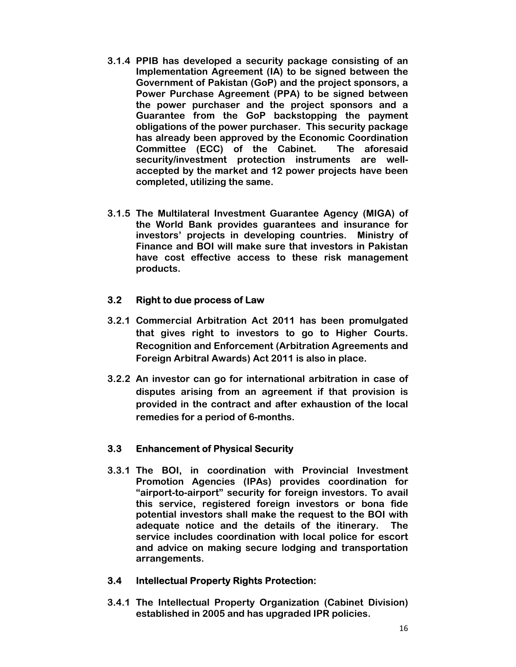- **3.1.4 PPIB has developed a security package consisting of an Implementation Agreement (IA) to be signed between the Government of Pakistan (GoP) and the project sponsors, a Power Purchase Agreement (PPA) to be signed between the power purchaser and the project sponsors and a Guarantee from the GoP backstopping the payment obligations of the power purchaser. This security package has already been approved by the Economic Coordination Committee (ECC) of the Cabinet. The aforesaid security/investment protection instruments are wellaccepted by the market and 12 power projects have been completed, utilizing the same.**
- **3.1.5 The Multilateral Investment Guarantee Agency (MIGA) of the World Bank provides guarantees and insurance for investors' projects in developing countries. Ministry of Finance and BOI will make sure that investors in Pakistan have cost effective access to these risk management products.**

#### **3.2 Right to due process of Law**

- **3.2.1 Commercial Arbitration Act 2011 has been promulgated that gives right to investors to go to Higher Courts. Recognition and Enforcement (Arbitration Agreements and Foreign Arbitral Awards) Act 2011 is also in place.**
- **3.2.2 An investor can go for international arbitration in case of disputes arising from an agreement if that provision is provided in the contract and after exhaustion of the local remedies for a period of 6-months.**

#### **3.3 Enhancement of Physical Security**

**3.3.1 The BOI, in coordination with Provincial Investment Promotion Agencies (IPAs) provides coordination for "airport-to-airport" security for foreign investors. To avail this service, registered foreign investors or bona fide potential investors shall make the request to the BOI with adequate notice and the details of the itinerary. The service includes coordination with local police for escort and advice on making secure lodging and transportation arrangements.** 

#### **3.4 Intellectual Property Rights Protection:**

**3.4.1 The Intellectual Property Organization (Cabinet Division) established in 2005 and has upgraded IPR policies.**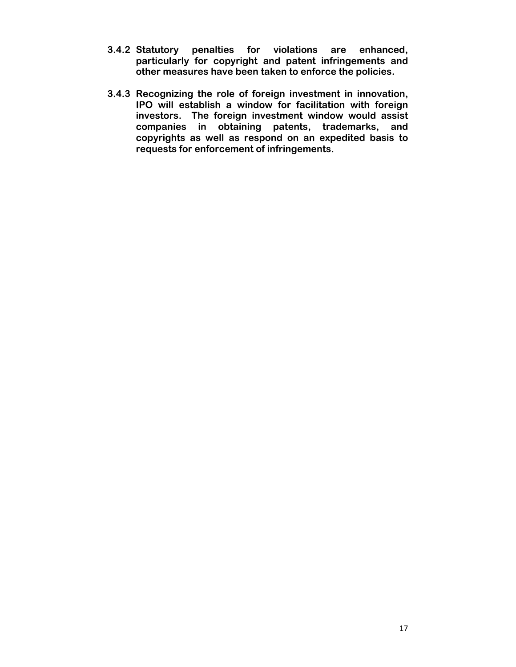- **3.4.2 Statutory penalties for violations are enhanced, particularly for copyright and patent infringements and other measures have been taken to enforce the policies.**
- **3.4.3 Recognizing the role of foreign investment in innovation, IPO will establish a window for facilitation with foreign investors. The foreign investment window would assist companies in obtaining patents, trademarks, and copyrights as well as respond on an expedited basis to requests for enforcement of infringements.**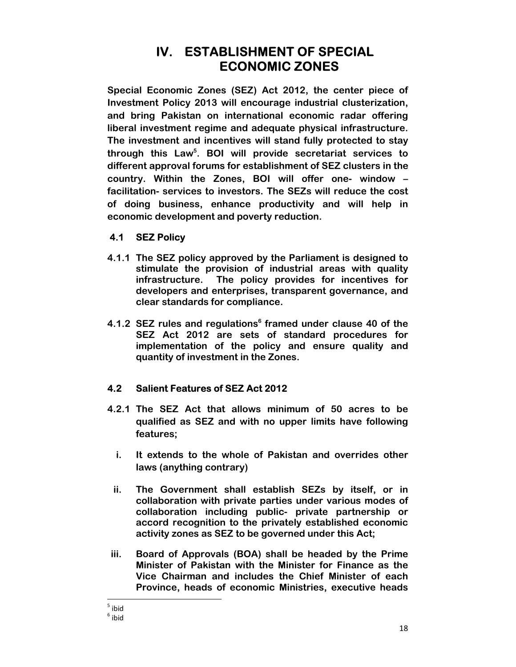# **IV. ESTABLISHMENT OF SPECIAL ECONOMIC ZONES**

**Special Economic Zones (SEZ) Act 2012, the center piece of Investment Policy 2013 will encourage industrial clusterization, and bring Pakistan on international economic radar offering liberal investment regime and adequate physical infrastructure. The investment and incentives will stand fully protected to stay through this Law5 . BOI will provide secretariat services to different approval forums for establishment of SEZ clusters in the country. Within the Zones, BOI will offer one- window – facilitation- services to investors. The SEZs will reduce the cost of doing business, enhance productivity and will help in economic development and poverty reduction.** 

# **4.1 SEZ Policy**

- **4.1.1 The SEZ policy approved by the Parliament is designed to stimulate the provision of industrial areas with quality infrastructure. The policy provides for incentives for developers and enterprises, transparent governance, and clear standards for compliance.**
- 4.1.2 SEZ rules and regulations<sup>6</sup> framed under clause 40 of the **SEZ Act 2012 are sets of standard procedures for implementation of the policy and ensure quality and quantity of investment in the Zones.**

# **4.2 Salient Features of SEZ Act 2012**

- **4.2.1 The SEZ Act that allows minimum of 50 acres to be qualified as SEZ and with no upper limits have following features;** 
	- **i. It extends to the whole of Pakistan and overrides other laws (anything contrary)**
	- **ii. The Government shall establish SEZs by itself, or in collaboration with private parties under various modes of collaboration including public- private partnership or accord recognition to the privately established economic activity zones as SEZ to be governed under this Act;**
- **iii. Board of Approvals (BOA) shall be headed by the Prime Minister of Pakistan with the Minister for Finance as the Vice Chairman and includes the Chief Minister of each Province, heads of economic Ministries, executive heads**

 $<sup>5</sup>$  ibid</sup>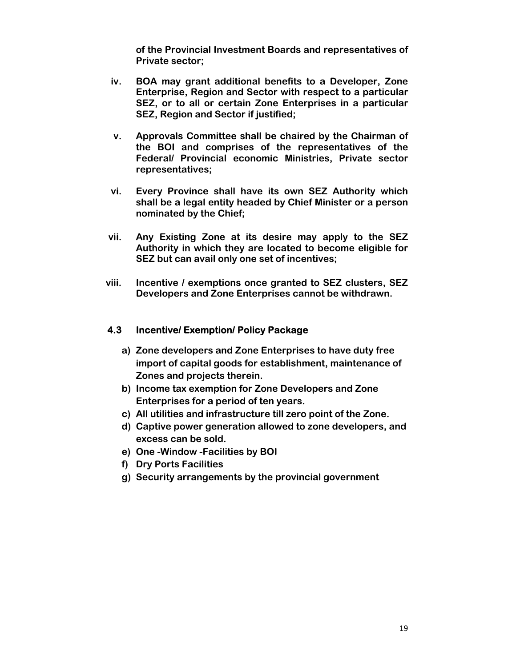**of the Provincial Investment Boards and representatives of Private sector;** 

- **iv. BOA may grant additional benefits to a Developer, Zone Enterprise, Region and Sector with respect to a particular SEZ, or to all or certain Zone Enterprises in a particular SEZ, Region and Sector if justified;**
- **v. Approvals Committee shall be chaired by the Chairman of the BOI and comprises of the representatives of the Federal/ Provincial economic Ministries, Private sector representatives;**
- **vi. Every Province shall have its own SEZ Authority which shall be a legal entity headed by Chief Minister or a person nominated by the Chief;**
- **vii. Any Existing Zone at its desire may apply to the SEZ Authority in which they are located to become eligible for SEZ but can avail only one set of incentives;**
- **viii. Incentive / exemptions once granted to SEZ clusters, SEZ Developers and Zone Enterprises cannot be withdrawn.**

#### **4.3 Incentive/ Exemption/ Policy Package**

- **a) Zone developers and Zone Enterprises to have duty free import of capital goods for establishment, maintenance of Zones and projects therein.**
- **b) Income tax exemption for Zone Developers and Zone Enterprises for a period of ten years.**
- **c) All utilities and infrastructure till zero point of the Zone.**
- **d) Captive power generation allowed to zone developers, and excess can be sold.**
- **e) One -Window -Facilities by BOI**
- **f) Dry Ports Facilities**
- **g) Security arrangements by the provincial government**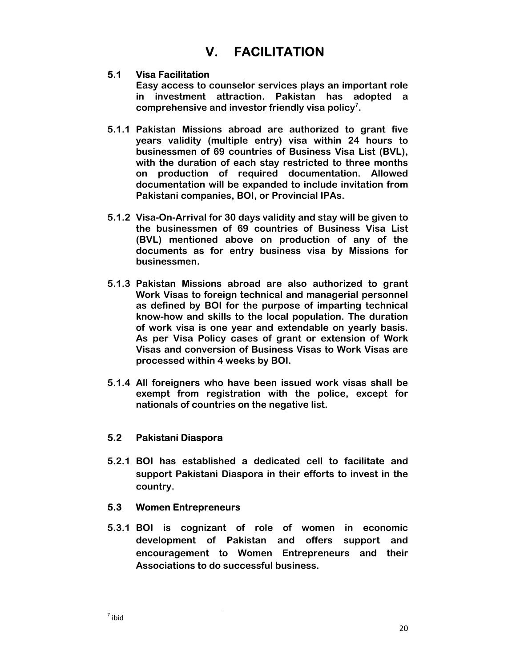# **V. FACILITATION**

## **5.1 Visa Facilitation**

**Easy access to counselor services plays an important role in investment attraction. Pakistan has adopted a comprehensive and investor friendly visa policy7 .** 

- **5.1.1 Pakistan Missions abroad are authorized to grant five years validity (multiple entry) visa within 24 hours to businessmen of 69 countries of Business Visa List (BVL), with the duration of each stay restricted to three months on production of required documentation. Allowed documentation will be expanded to include invitation from Pakistani companies, BOI, or Provincial IPAs.**
- **5.1.2 Visa-On-Arrival for 30 days validity and stay will be given to the businessmen of 69 countries of Business Visa List (BVL) mentioned above on production of any of the documents as for entry business visa by Missions for businessmen.**
- **5.1.3 Pakistan Missions abroad are also authorized to grant Work Visas to foreign technical and managerial personnel as defined by BOI for the purpose of imparting technical know-how and skills to the local population. The duration of work visa is one year and extendable on yearly basis. As per Visa Policy cases of grant or extension of Work Visas and conversion of Business Visas to Work Visas are processed within 4 weeks by BOI.**
- **5.1.4 All foreigners who have been issued work visas shall be exempt from registration with the police, except for nationals of countries on the negative list.**

# **5.2 Pakistani Diaspora**

**5.2.1 BOI has established a dedicated cell to facilitate and support Pakistani Diaspora in their efforts to invest in the country.** 

#### **5.3 Women Entrepreneurs**

**5.3.1 BOI is cognizant of role of women in economic development of Pakistan and offers support and encouragement to Women Entrepreneurs and their Associations to do successful business.**